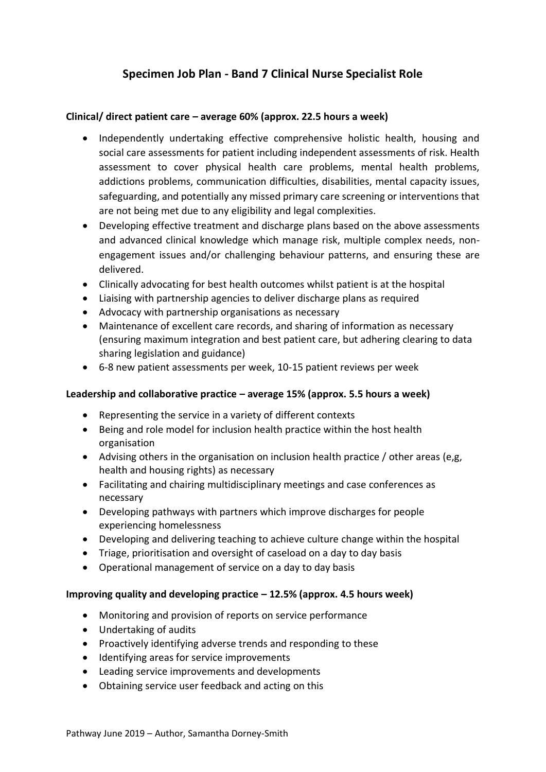# **Specimen Job Plan - Band 7 Clinical Nurse Specialist Role**

## **Clinical/ direct patient care – average 60% (approx. 22.5 hours a week)**

- Independently undertaking effective comprehensive holistic health, housing and social care assessments for patient including independent assessments of risk. Health assessment to cover physical health care problems, mental health problems, addictions problems, communication difficulties, disabilities, mental capacity issues, safeguarding, and potentially any missed primary care screening or interventions that are not being met due to any eligibility and legal complexities.
- Developing effective treatment and discharge plans based on the above assessments and advanced clinical knowledge which manage risk, multiple complex needs, nonengagement issues and/or challenging behaviour patterns, and ensuring these are delivered.
- Clinically advocating for best health outcomes whilst patient is at the hospital
- Liaising with partnership agencies to deliver discharge plans as required
- Advocacy with partnership organisations as necessary
- Maintenance of excellent care records, and sharing of information as necessary (ensuring maximum integration and best patient care, but adhering clearing to data sharing legislation and guidance)
- 6-8 new patient assessments per week, 10-15 patient reviews per week

## **Leadership and collaborative practice – average 15% (approx. 5.5 hours a week)**

- Representing the service in a variety of different contexts
- Being and role model for inclusion health practice within the host health organisation
- Advising others in the organisation on inclusion health practice / other areas (e,g, health and housing rights) as necessary
- Facilitating and chairing multidisciplinary meetings and case conferences as necessary
- Developing pathways with partners which improve discharges for people experiencing homelessness
- Developing and delivering teaching to achieve culture change within the hospital
- Triage, prioritisation and oversight of caseload on a day to day basis
- Operational management of service on a day to day basis

#### **Improving quality and developing practice – 12.5% (approx. 4.5 hours week)**

- Monitoring and provision of reports on service performance
- Undertaking of audits
- Proactively identifying adverse trends and responding to these
- Identifying areas for service improvements
- Leading service improvements and developments
- Obtaining service user feedback and acting on this